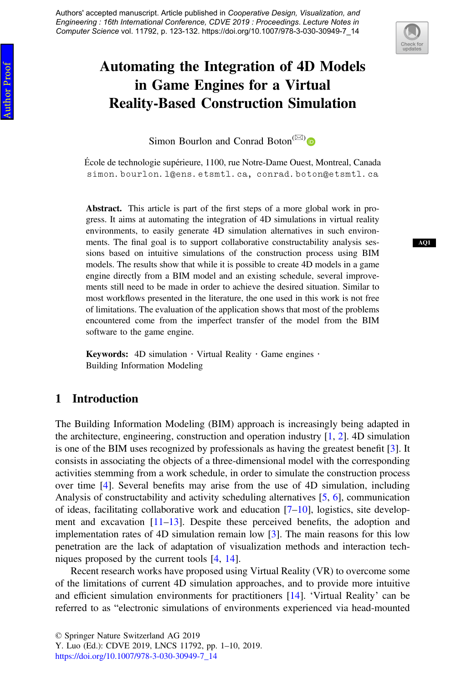Authors' accepted manuscript. Article published in *Cooperative Design, Visualization, and Engineering : 16th International Conference, CDVE 2019 : Proceedings*. *Lecture Notes in Computer Science* vol. 11792, p. 123-132. https://doi.org/10.1007/978-3-030-30949-7\_14



# Automating the Integration of 4D Models in Game Engines for a Virtual Reality-Based Construction Simulation

Simon Bourlon and Conrad Boton<sup>( $\boxtimes$ [\)](http://orcid.org/0000-0002-1843-6748)</sup>

École de technologie supérieure, 1100, rue Notre-Dame Ouest, Montreal, Canada simon.bourlon.1@ens.etsmtl.ca, conrad.boton@etsmtl.ca

Abstract. This article is part of the first steps of a more global work in progress. It aims at automating the integration of 4D simulations in virtual reality environments, to easily generate 4D simulation alternatives in such environments. The final goal is to support collaborative constructability analysis sessions based on intuitive simulations of the construction process using BIM models. The results show that while it is possible to create 4D models in a game engine directly from a BIM model and an existing schedule, several improvements still need to be made in order to achieve the desired situation. Similar to most workflows presented in the literature, the one used in this work is not free of limitations. The evaluation of the application shows that most of the problems encountered come from the imperfect transfer of the model from the BIM software to the game engine.

**Keywords:** 4D simulation  $\cdot$  Virtual Reality  $\cdot$  Game engines  $\cdot$  Building Information Modeling

# 1 Introduction

The Building Information Modeling (BIM) approach is increasingly being adapted in the architecture, engineering, construction and operation industry  $[1, 2]$  $[1, 2]$  $[1, 2]$ . 4D simulation is one of the BIM uses recognized by professionals as having the greatest benefit [\[3](#page-8-0)]. It consists in associating the objects of a three-dimensional model with the corresponding activities stemming from a work schedule, in order to simulate the construction process over time [[4\]](#page-8-0). Several benefits may arise from the use of 4D simulation, including Analysis of constructability and activity scheduling alternatives [\[5](#page-8-0), [6](#page-8-0)], communication of ideas, facilitating collaborative work and education  $[7-10]$  $[7-10]$  $[7-10]$  $[7-10]$ , logistics, site development and excavation [[11](#page-9-0)–[13\]](#page-9-0). Despite these perceived benefits, the adoption and implementation rates of 4D simulation remain low [\[3](#page-8-0)]. The main reasons for this low penetration are the lack of adaptation of visualization methods and interaction techniques proposed by the current tools [\[4](#page-8-0), [14](#page-9-0)].

Recent research works have proposed using Virtual Reality (VR) to overcome some of the limitations of current 4D simulation approaches, and to provide more intuitive and efficient simulation environments for practitioners [[14\]](#page-9-0). 'Virtual Reality' can be referred to as "electronic simulations of environments experienced via head-mounted

Y. Luo (Ed.): CDVE 2019, LNCS 11792, pp. 1–10, 2019.

[https://doi.org/10.1007/978-3-030-30949-7\\_14](https://doi.org/10.1007/978-3-030-30949-7_14)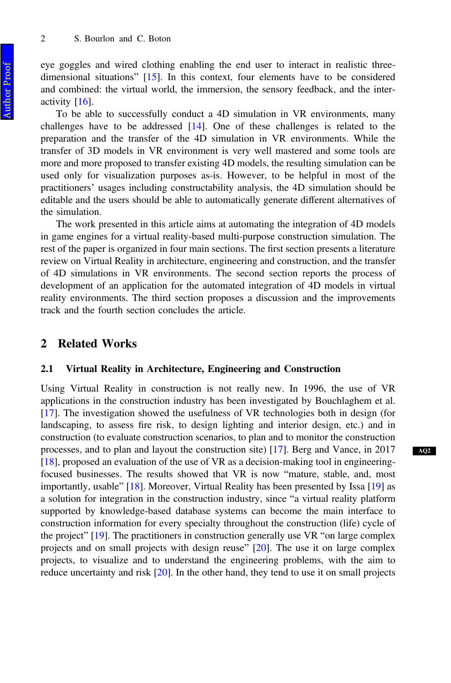eye goggles and wired clothing enabling the end user to interact in realistic threedimensional situations" [[15\]](#page-9-0). In this context, four elements have to be considered and combined: the virtual world, the immersion, the sensory feedback, and the interactivity [[16\]](#page-9-0).

To be able to successfully conduct a 4D simulation in VR environments, many challenges have to be addressed [[14\]](#page-9-0). One of these challenges is related to the preparation and the transfer of the 4D simulation in VR environments. While the transfer of 3D models in VR environment is very well mastered and some tools are more and more proposed to transfer existing 4D models, the resulting simulation can be used only for visualization purposes as-is. However, to be helpful in most of the practitioners' usages including constructability analysis, the 4D simulation should be editable and the users should be able to automatically generate different alternatives of the simulation.

The work presented in this article aims at automating the integration of 4D models in game engines for a virtual reality-based multi-purpose construction simulation. The rest of the paper is organized in four main sections. The first section presents a literature review on Virtual Reality in architecture, engineering and construction, and the transfer of 4D simulations in VR environments. The second section reports the process of development of an application for the automated integration of 4D models in virtual reality environments. The third section proposes a discussion and the improvements track and the fourth section concludes the article.

### 2 Related Works

#### 2.1 Virtual Reality in Architecture, Engineering and Construction

Using Virtual Reality in construction is not really new. In 1996, the use of VR applications in the construction industry has been investigated by Bouchlaghem et al. [[17\]](#page-9-0). The investigation showed the usefulness of VR technologies both in design (for landscaping, to assess fire risk, to design lighting and interior design, etc.) and in construction (to evaluate construction scenarios, to plan and to monitor the construction processes, and to plan and layout the construction site) [[17\]](#page-9-0). Berg and Vance, in 2017 [[18\]](#page-9-0), proposed an evaluation of the use of VR as a decision-making tool in engineeringfocused businesses. The results showed that VR is now "mature, stable, and, most importantly, usable" [\[18](#page-9-0)]. Moreover, Virtual Reality has been presented by Issa [\[19](#page-9-0)] as a solution for integration in the construction industry, since "a virtual reality platform supported by knowledge-based database systems can become the main interface to construction information for every specialty throughout the construction (life) cycle of the project" [[19\]](#page-9-0). The practitioners in construction generally use VR "on large complex projects and on small projects with design reuse" [[20\]](#page-9-0). The use it on large complex projects, to visualize and to understand the engineering problems, with the aim to reduce uncertainty and risk [\[20](#page-9-0)]. In the other hand, they tend to use it on small projects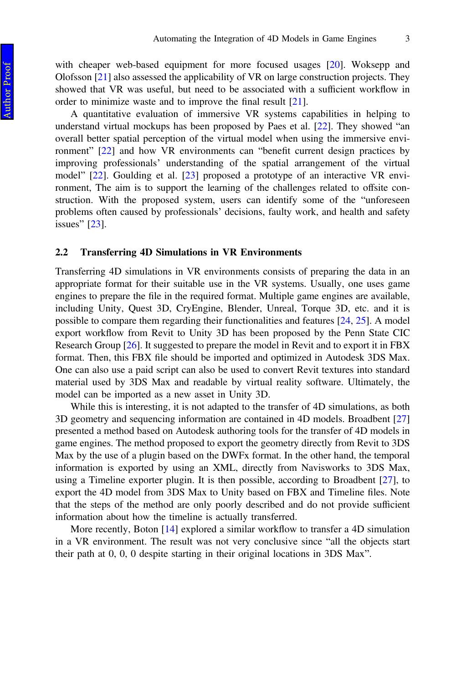with cheaper web-based equipment for more focused usages [\[20](#page-9-0)]. Woksepp and Olofsson [\[21](#page-9-0)] also assessed the applicability of VR on large construction projects. They showed that VR was useful, but need to be associated with a sufficient workflow in order to minimize waste and to improve the final result [[21\]](#page-9-0).

A quantitative evaluation of immersive VR systems capabilities in helping to understand virtual mockups has been proposed by Paes et al. [\[22](#page-9-0)]. They showed "an overall better spatial perception of the virtual model when using the immersive environment" [[22\]](#page-9-0) and how VR environments can "benefit current design practices by improving professionals' understanding of the spatial arrangement of the virtual model" [\[22](#page-9-0)]. Goulding et al. [[23\]](#page-9-0) proposed a prototype of an interactive VR environment, The aim is to support the learning of the challenges related to offsite construction. With the proposed system, users can identify some of the "unforeseen problems often caused by professionals' decisions, faulty work, and health and safety issues" [\[23](#page-9-0)].

#### 2.2 Transferring 4D Simulations in VR Environments

Transferring 4D simulations in VR environments consists of preparing the data in an appropriate format for their suitable use in the VR systems. Usually, one uses game engines to prepare the file in the required format. Multiple game engines are available, including Unity, Quest 3D, CryEngine, Blender, Unreal, Torque 3D, etc. and it is possible to compare them regarding their functionalities and features [[24,](#page-9-0) [25\]](#page-9-0). A model export workflow from Revit to Unity 3D has been proposed by the Penn State CIC Research Group [\[26](#page-9-0)]. It suggested to prepare the model in Revit and to export it in FBX format. Then, this FBX file should be imported and optimized in Autodesk 3DS Max. One can also use a paid script can also be used to convert Revit textures into standard material used by 3DS Max and readable by virtual reality software. Ultimately, the model can be imported as a new asset in Unity 3D.

While this is interesting, it is not adapted to the transfer of 4D simulations, as both 3D geometry and sequencing information are contained in 4D models. Broadbent [\[27](#page-9-0)] presented a method based on Autodesk authoring tools for the transfer of 4D models in game engines. The method proposed to export the geometry directly from Revit to 3DS Max by the use of a plugin based on the DWFx format. In the other hand, the temporal information is exported by using an XML, directly from Navisworks to 3DS Max, using a Timeline exporter plugin. It is then possible, according to Broadbent [[27\]](#page-9-0), to export the 4D model from 3DS Max to Unity based on FBX and Timeline files. Note that the steps of the method are only poorly described and do not provide sufficient information about how the timeline is actually transferred.

More recently, Boton [[14\]](#page-9-0) explored a similar workflow to transfer a 4D simulation in a VR environment. The result was not very conclusive since "all the objects start their path at 0, 0, 0 despite starting in their original locations in 3DS Max".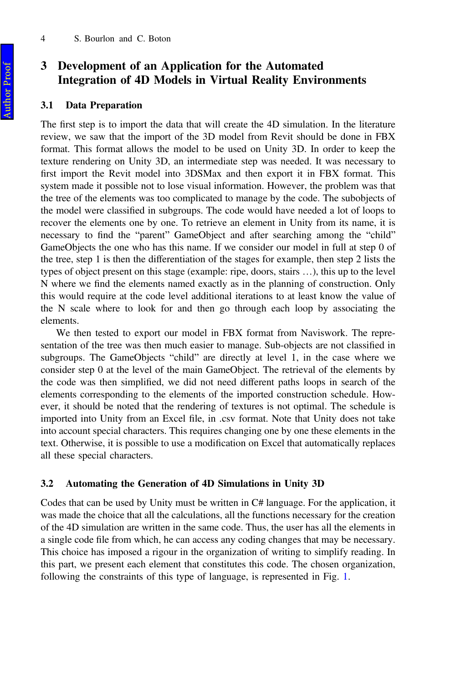# 3 Development of an Application for the Automated Integration of 4D Models in Virtual Reality Environments

#### 3.1 Data Preparation

The first step is to import the data that will create the 4D simulation. In the literature review, we saw that the import of the 3D model from Revit should be done in FBX format. This format allows the model to be used on Unity 3D. In order to keep the texture rendering on Unity 3D, an intermediate step was needed. It was necessary to first import the Revit model into 3DSMax and then export it in FBX format. This system made it possible not to lose visual information. However, the problem was that the tree of the elements was too complicated to manage by the code. The subobjects of the model were classified in subgroups. The code would have needed a lot of loops to recover the elements one by one. To retrieve an element in Unity from its name, it is necessary to find the "parent" GameObject and after searching among the "child" GameObjects the one who has this name. If we consider our model in full at step 0 of the tree, step 1 is then the differentiation of the stages for example, then step 2 lists the types of object present on this stage (example: ripe, doors, stairs …), this up to the level N where we find the elements named exactly as in the planning of construction. Only this would require at the code level additional iterations to at least know the value of the N scale where to look for and then go through each loop by associating the elements.

We then tested to export our model in FBX format from Naviswork. The representation of the tree was then much easier to manage. Sub-objects are not classified in subgroups. The GameObjects "child" are directly at level 1, in the case where we consider step 0 at the level of the main GameObject. The retrieval of the elements by the code was then simplified, we did not need different paths loops in search of the elements corresponding to the elements of the imported construction schedule. However, it should be noted that the rendering of textures is not optimal. The schedule is imported into Unity from an Excel file, in .csv format. Note that Unity does not take into account special characters. This requires changing one by one these elements in the text. Otherwise, it is possible to use a modification on Excel that automatically replaces all these special characters.

#### 3.2 Automating the Generation of 4D Simulations in Unity 3D

Codes that can be used by Unity must be written in C# language. For the application, it was made the choice that all the calculations, all the functions necessary for the creation of the 4D simulation are written in the same code. Thus, the user has all the elements in a single code file from which, he can access any coding changes that may be necessary. This choice has imposed a rigour in the organization of writing to simplify reading. In this part, we present each element that constitutes this code. The chosen organization, following the constraints of this type of language, is represented in Fig. [1](#page-4-0).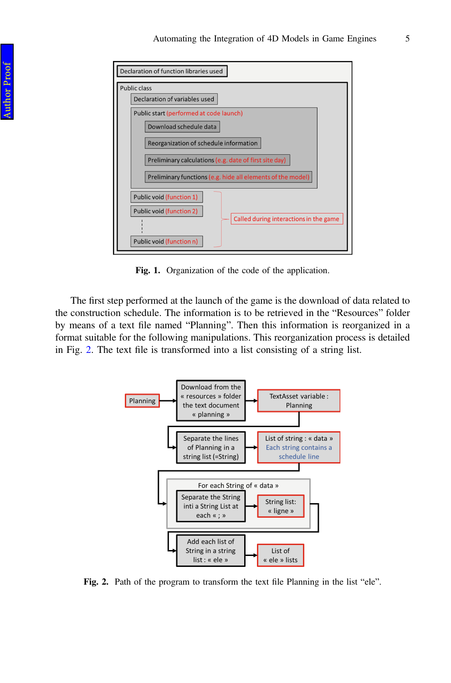<span id="page-4-0"></span>

Fig. 1. Organization of the code of the application.

The first step performed at the launch of the game is the download of data related to the construction schedule. The information is to be retrieved in the "Resources" folder by means of a text file named "Planning". Then this information is reorganized in a format suitable for the following manipulations. This reorganization process is detailed in Fig. 2. The text file is transformed into a list consisting of a string list.



Fig. 2. Path of the program to transform the text file Planning in the list "ele".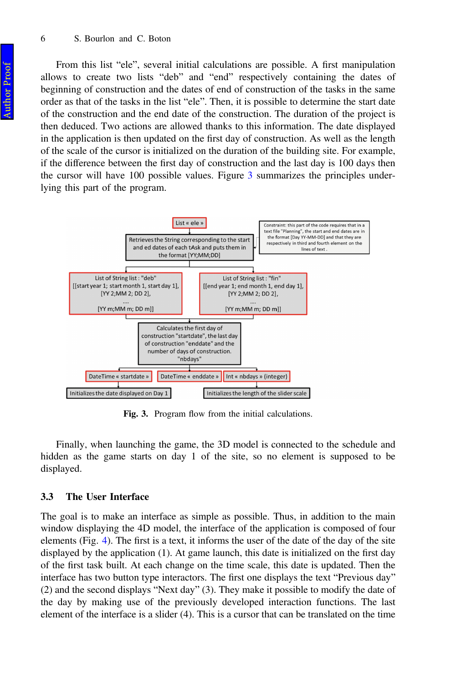From this list "ele", several initial calculations are possible. A first manipulation allows to create two lists "deb" and "end" respectively containing the dates of beginning of construction and the dates of end of construction of the tasks in the same order as that of the tasks in the list "ele". Then, it is possible to determine the start date of the construction and the end date of the construction. The duration of the project is then deduced. Two actions are allowed thanks to this information. The date displayed in the application is then updated on the first day of construction. As well as the length of the scale of the cursor is initialized on the duration of the building site. For example, if the difference between the first day of construction and the last day is 100 days then the cursor will have 100 possible values. Figure 3 summarizes the principles underlying this part of the program.



Fig. 3. Program flow from the initial calculations.

Finally, when launching the game, the 3D model is connected to the schedule and hidden as the game starts on day 1 of the site, so no element is supposed to be displayed.

#### 3.3 The User Interface

The goal is to make an interface as simple as possible. Thus, in addition to the main window displaying the 4D model, the interface of the application is composed of four elements (Fig. [4\)](#page-6-0). The first is a text, it informs the user of the date of the day of the site displayed by the application (1). At game launch, this date is initialized on the first day of the first task built. At each change on the time scale, this date is updated. Then the interface has two button type interactors. The first one displays the text "Previous day" (2) and the second displays "Next day" (3). They make it possible to modify the date of the day by making use of the previously developed interaction functions. The last element of the interface is a slider (4). This is a cursor that can be translated on the time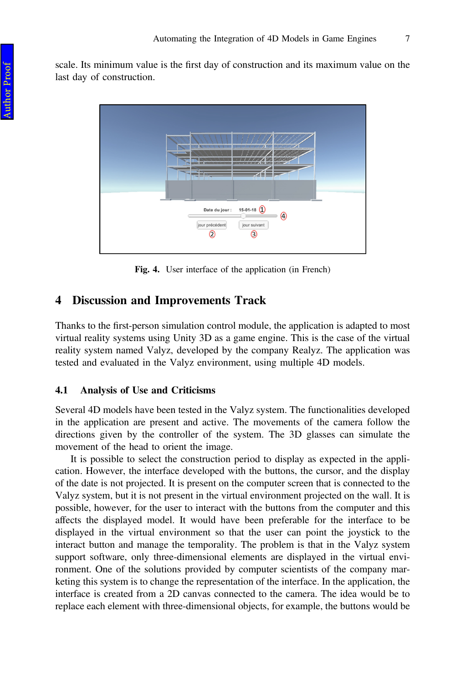<span id="page-6-0"></span>scale. Its minimum value is the first day of construction and its maximum value on the last day of construction.



Fig. 4. User interface of the application (in French)

## 4 Discussion and Improvements Track

Thanks to the first-person simulation control module, the application is adapted to most virtual reality systems using Unity 3D as a game engine. This is the case of the virtual reality system named Valyz, developed by the company Realyz. The application was tested and evaluated in the Valyz environment, using multiple 4D models.

### 4.1 Analysis of Use and Criticisms

Several 4D models have been tested in the Valyz system. The functionalities developed in the application are present and active. The movements of the camera follow the directions given by the controller of the system. The 3D glasses can simulate the movement of the head to orient the image.

It is possible to select the construction period to display as expected in the application. However, the interface developed with the buttons, the cursor, and the display of the date is not projected. It is present on the computer screen that is connected to the Valyz system, but it is not present in the virtual environment projected on the wall. It is possible, however, for the user to interact with the buttons from the computer and this affects the displayed model. It would have been preferable for the interface to be displayed in the virtual environment so that the user can point the joystick to the interact button and manage the temporality. The problem is that in the Valyz system support software, only three-dimensional elements are displayed in the virtual environment. One of the solutions provided by computer scientists of the company marketing this system is to change the representation of the interface. In the application, the interface is created from a 2D canvas connected to the camera. The idea would be to replace each element with three-dimensional objects, for example, the buttons would be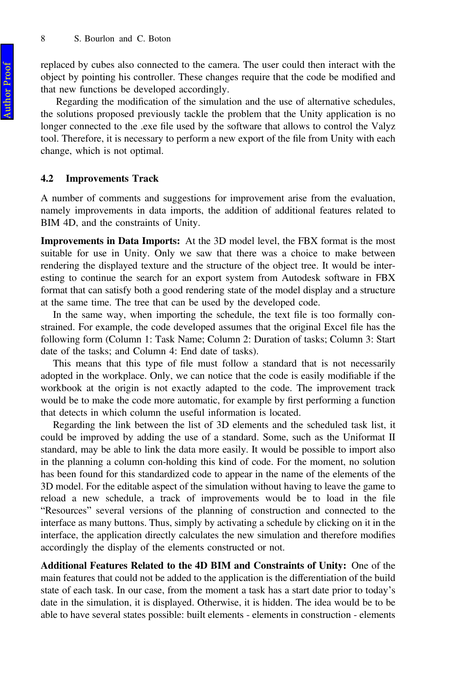replaced by cubes also connected to the camera. The user could then interact with the object by pointing his controller. These changes require that the code be modified and that new functions be developed accordingly.

Regarding the modification of the simulation and the use of alternative schedules, the solutions proposed previously tackle the problem that the Unity application is no longer connected to the .exe file used by the software that allows to control the Valyz tool. Therefore, it is necessary to perform a new export of the file from Unity with each change, which is not optimal.

#### 4.2 Improvements Track

A number of comments and suggestions for improvement arise from the evaluation, namely improvements in data imports, the addition of additional features related to BIM 4D, and the constraints of Unity.

Improvements in Data Imports: At the 3D model level, the FBX format is the most suitable for use in Unity. Only we saw that there was a choice to make between rendering the displayed texture and the structure of the object tree. It would be interesting to continue the search for an export system from Autodesk software in FBX format that can satisfy both a good rendering state of the model display and a structure at the same time. The tree that can be used by the developed code.

In the same way, when importing the schedule, the text file is too formally constrained. For example, the code developed assumes that the original Excel file has the following form (Column 1: Task Name; Column 2: Duration of tasks; Column 3: Start date of the tasks; and Column 4: End date of tasks).

This means that this type of file must follow a standard that is not necessarily adopted in the workplace. Only, we can notice that the code is easily modifiable if the workbook at the origin is not exactly adapted to the code. The improvement track would be to make the code more automatic, for example by first performing a function that detects in which column the useful information is located.

Regarding the link between the list of 3D elements and the scheduled task list, it could be improved by adding the use of a standard. Some, such as the Uniformat II standard, may be able to link the data more easily. It would be possible to import also in the planning a column con-holding this kind of code. For the moment, no solution has been found for this standardized code to appear in the name of the elements of the 3D model. For the editable aspect of the simulation without having to leave the game to reload a new schedule, a track of improvements would be to load in the file "Resources" several versions of the planning of construction and connected to the interface as many buttons. Thus, simply by activating a schedule by clicking on it in the interface, the application directly calculates the new simulation and therefore modifies accordingly the display of the elements constructed or not.

Additional Features Related to the 4D BIM and Constraints of Unity: One of the main features that could not be added to the application is the differentiation of the build state of each task. In our case, from the moment a task has a start date prior to today's date in the simulation, it is displayed. Otherwise, it is hidden. The idea would be to be able to have several states possible: built elements - elements in construction - elements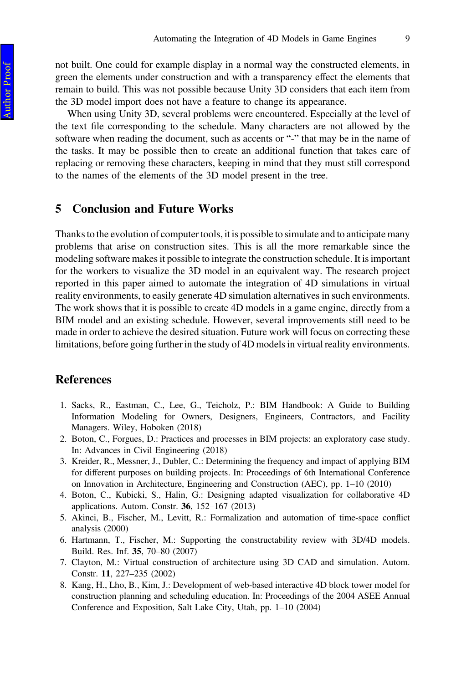<span id="page-8-0"></span>not built. One could for example display in a normal way the constructed elements, in green the elements under construction and with a transparency effect the elements that remain to build. This was not possible because Unity 3D considers that each item from the 3D model import does not have a feature to change its appearance.

When using Unity 3D, several problems were encountered. Especially at the level of the text file corresponding to the schedule. Many characters are not allowed by the software when reading the document, such as accents or "-" that may be in the name of the tasks. It may be possible then to create an additional function that takes care of replacing or removing these characters, keeping in mind that they must still correspond to the names of the elements of the 3D model present in the tree.

## 5 Conclusion and Future Works

Thanks to the evolution of computer tools, it is possible to simulate and to anticipate many problems that arise on construction sites. This is all the more remarkable since the modeling software makes it possible to integrate the construction schedule. It is important for the workers to visualize the 3D model in an equivalent way. The research project reported in this paper aimed to automate the integration of 4D simulations in virtual reality environments, to easily generate 4D simulation alternatives in such environments. The work shows that it is possible to create 4D models in a game engine, directly from a BIM model and an existing schedule. However, several improvements still need to be made in order to achieve the desired situation. Future work will focus on correcting these limitations, before going further in the study of 4D models in virtual reality environments.

### **References**

- 1. Sacks, R., Eastman, C., Lee, G., Teicholz, P.: BIM Handbook: A Guide to Building Information Modeling for Owners, Designers, Engineers, Contractors, and Facility Managers. Wiley, Hoboken (2018)
- 2. Boton, C., Forgues, D.: Practices and processes in BIM projects: an exploratory case study. In: Advances in Civil Engineering (2018)
- 3. Kreider, R., Messner, J., Dubler, C.: Determining the frequency and impact of applying BIM for different purposes on building projects. In: Proceedings of 6th International Conference on Innovation in Architecture, Engineering and Construction (AEC), pp. 1–10 (2010)
- 4. Boton, C., Kubicki, S., Halin, G.: Designing adapted visualization for collaborative 4D applications. Autom. Constr. 36, 152–167 (2013)
- 5. Akinci, B., Fischer, M., Levitt, R.: Formalization and automation of time-space conflict analysis (2000)
- 6. Hartmann, T., Fischer, M.: Supporting the constructability review with 3D/4D models. Build. Res. Inf. 35, 70–80 (2007)
- 7. Clayton, M.: Virtual construction of architecture using 3D CAD and simulation. Autom. Constr. 11, 227–235 (2002)
- 8. Kang, H., Lho, B., Kim, J.: Development of web-based interactive 4D block tower model for construction planning and scheduling education. In: Proceedings of the 2004 ASEE Annual Conference and Exposition, Salt Lake City, Utah, pp. 1–10 (2004)